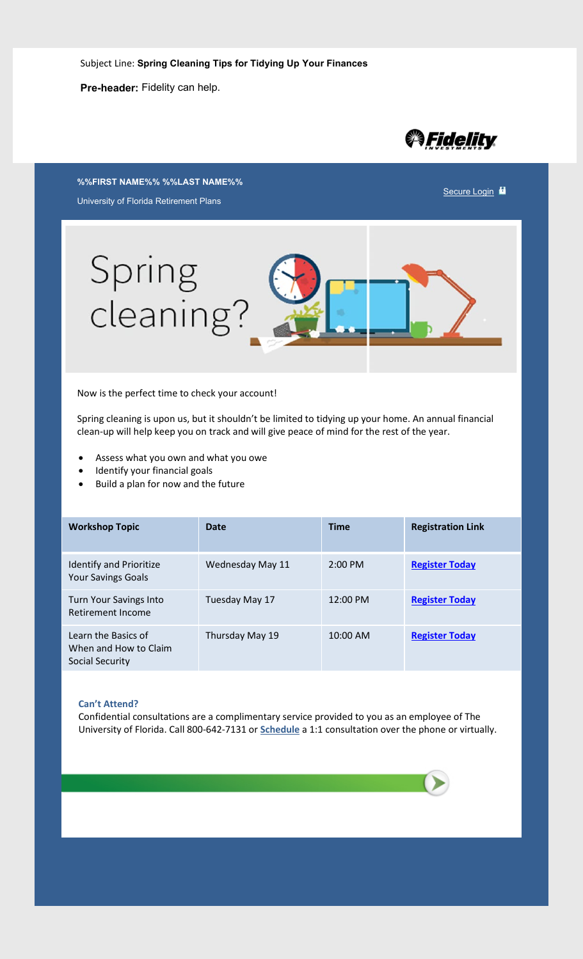**Pre-header:** Fidelity can help.



**%%FIRST NAME%% %%LAST NAME%%** University of Florida Retirement Plans





Now is the perfect time to check your account!

Spring cleaning is upon us, but it shouldn't be limited to tidying up your home. An annual financial clean-up will help keep you on track and will give peace of mind for the rest of the year.

- Assess what you own and what you owe
- Identify your financial goals
- Build a plan for now and the future

| <b>Workshop Topic</b>                                           | <b>Date</b>      | <b>Time</b>        | <b>Registration Link</b> |
|-----------------------------------------------------------------|------------------|--------------------|--------------------------|
| Identify and Prioritize<br><b>Your Savings Goals</b>            | Wednesday May 11 | $2:00 \text{ PM}$  | <b>Register Today</b>    |
| <b>Turn Your Savings Into</b><br>Retirement Income              | Tuesday May 17   | $12:00 \text{ PM}$ | <b>Register Today</b>    |
| Learn the Basics of<br>When and How to Claim<br>Social Security | Thursday May 19  | $10:00$ AM         | <b>Register Today</b>    |

## **Can't Attend?**

Confidential consultations are a complimentary service provided to you as an employee of The University of Florida. Call 800-642-7131 or **[Schedule](https://digital.fidelity.com/prgw/digital/wos/Appointments?planSponsorName=UNIVERSITY%20OF%20FLORIDA)** a 1:1 consultation over the phone or virtually.